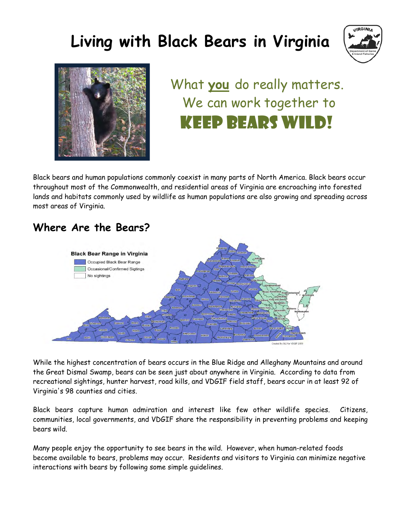# **Living with Black Bears in Virginia**





# What **you** do really matters. We can work together to keep bears wild!

Black bears and human populations commonly coexist in many parts of North America. Black bears occur throughout most of the Commonwealth, and residential areas of Virginia are encroaching into forested lands and habitats commonly used by wildlife as human populations are also growing and spreading across most areas of Virginia.

# **Where Are the Bears?**



While the highest concentration of bears occurs in the Blue Ridge and Alleghany Mountains and around the Great Dismal Swamp, bears can be seen just about anywhere in Virginia. According to data from recreational sightings, hunter harvest, road kills, and VDGIF field staff, bears occur in at least 92 of Virginia's 98 counties and cities.

Black bears capture human admiration and interest like few other wildlife species. Citizens, communities, local governments, and VDGIF share the responsibility in preventing problems and keeping bears wild.

Many people enjoy the opportunity to see bears in the wild. However, when human-related foods become available to bears, problems may occur. Residents and visitors to Virginia can minimize negative interactions with bears by following some simple guidelines.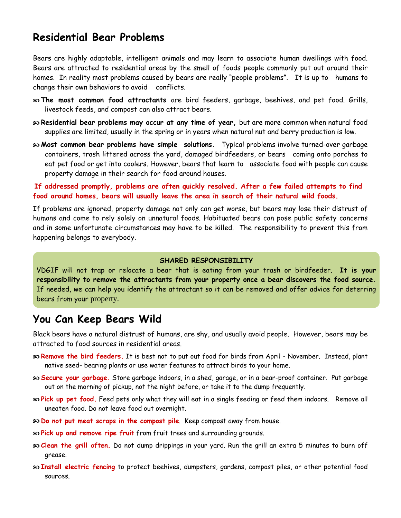### **Residential Bear Problems**

Bears are highly adaptable, intelligent animals and may learn to associate human dwellings with food. Bears are attracted to residential areas by the smell of foods people commonly put out around their homes. In reality most problems caused by bears are really "people problems". It is up to humans to change their own behaviors to avoid conflicts.

- **The most common food attractants** are bird feeders, garbage, beehives, and pet food. Grills, livestock feeds, and compost can also attract bears.
- **Residential bear problems may occur at any time of year,** but are more common when natural food supplies are limited, usually in the spring or in years when natural nut and berry production is low.
- **Most common bear problems have simple solutions.** Typical problems involve turned-over garbage containers, trash littered across the yard, damaged birdfeeders, or bears coming onto porches to eat pet food or get into coolers. However, bears that learn to associate food with people can cause property damage in their search for food around houses.

**If addressed promptly, problems are often quickly resolved. After a few failed attempts to find food around homes, bears will usually leave the area in search of their natural wild foods.** 

If problems are ignored, property damage not only can get worse, but bears may lose their distrust of humans and come to rely solely on unnatural foods. Habituated bears can pose public safety concerns and in some unfortunate circumstances may have to be killed. The responsibility to prevent this from happening belongs to everybody.

#### **SHARED RESPONSIBILITY**

VDGIF will not trap or relocate a bear that is eating from your trash or birdfeeder. **It is your responsibility to remove the attractants from your property once a bear discovers the food source.**  If needed, we can help you identify the attractant so it can be removed and offer advice for deterring bears from your property.

### **You Can Keep Bears Wild**

Black bears have a natural distrust of humans, are shy, and usually avoid people. However, bears may be attracted to food sources in residential areas.

- **Remove the bird feeders.** It is best not to put out food for birds from April November. Instead, plant native seed- bearing plants or use water features to attract birds to your home.
- **Secure your garbage.** Store garbage indoors, in a shed, garage, or in a bear-proof container. Put garbage out on the morning of pickup, not the night before, or take it to the dump frequently.
- **Pick up pet food.** Feed pets only what they will eat in a single feeding or feed them indoors. Remove all uneaten food. Do not leave food out overnight.
- **Do not put meat scraps in the compost pile**. Keep compost away from house.
- **Pick up and remove ripe fruit** from fruit trees and surrounding grounds.
- **Clean the grill often.** Do not dump drippings in your yard. Run the grill an extra 5 minutes to burn off grease.
- **Install electric fencing** to protect beehives, dumpsters, gardens, compost piles, or other potential food sources.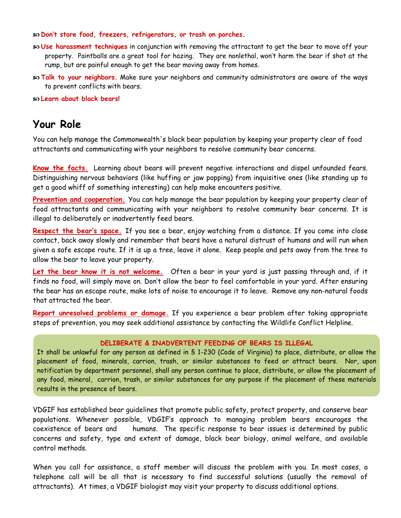**Don't store food, freezers, refrigerators, or trash on porches.**

- **Use harassment techniques** in conjunction with removing the attractant to get the bear to move off your property. Paintballs are a great tool for hazing. They are nonlethal, won't harm the bear if shot at the rump, but are painful enough to get the bear moving away from homes.
- **Talk to your neighbors.** Make sure your neighbors and community administrators are aware of the ways to prevent conflicts with bears.

**Learn about black bears!**

### **Your Role**

You can help manage the Commonwealth's black bear population by keeping your property clear of food attractants and communicating with your neighbors to resolve community bear concerns.

**Know the facts.** Learning about bears will prevent negative interactions and dispel unfounded fears. Distinguishing nervous behaviors (like huffing or jaw popping) from inquisitive ones (like standing up to get a good whiff of something interesting) can help make encounters positive.

**Prevention and cooperation.** You can help manage the bear population by keeping your property clear of food attractants and communicating with your neighbors to resolve community bear concerns. It is illegal to deliberately or inadvertently feed bears.

**Respect the bear's space.** If you see a bear, enjoy watching from a distance. If you come into close contact, back away slowly and remember that bears have a natural distrust of humans and will run when given a safe escape route. If it is up a tree, leave it alone. Keep people and pets away from the tree to allow the bear to leave your property.

Let the bear know it is not welcome. Often a bear in your yard is just passing through and, if it finds no food, will simply move on. Don't allow the bear to feel comfortable in your yard. After ensuring the bear has an escape route, make lots of noise to encourage it to leave. Remove any non-natural foods that attracted the bear.

**Report unresolved problems or damage.** If you experience a bear problem after taking appropriate steps of prevention, you may seek additional assistance by contacting the Wildlife Conflict Helpline.

#### **DELIBERATE & INADVERTENT FEEDING OF BEARS IS ILLEGAL**

**Party 1999, Himster, Section, West** It shall be unlawful for any person as defined in § 1-230 (Code of Virginia) to place, distribute, or allow the placement of food, minerals, carrion, trash, or similar substances to feed or attract bears. Nor, upon notification by department personnel, shall any person continue to place, distribute, or allow the placement of any food, mineral, carrion, trash, or similar substances for any purpose if the placement of these materials

VDGIF has established bear guidelines that promote public safety, protect property, and conserve bear populations. Whenever possible, VDGIF's approach to managing problem bears encourages the coexistence of bears and humans. The specific response to bear issues is determined by public concerns and safety, type and extent of damage, black bear biology, animal welfare, and available control methods.

When you call for assistance, a staff member will discuss the problem with you. In most cases, a telephone call will be all that is necessary to find successful solutions (usually the removal of attractants). At times, a VDGIF biologist may visit your property to discuss additional options.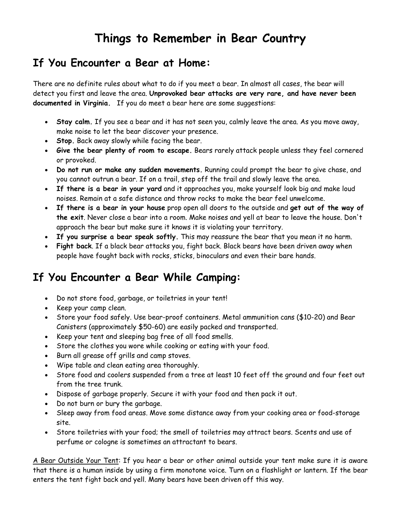# **Things to Remember in Bear Country**

### **If You Encounter a Bear at Home:**

There are no definite rules about what to do if you meet a bear. In almost all cases, the bear will detect you first and leave the area. **Unprovoked bear attacks are very rare, and have never been documented in Virginia.** If you do meet a bear here are some suggestions:

- **Stay calm.** If you see a bear and it has not seen you, calmly leave the area. As you move away, make noise to let the bear discover your presence.
- **Stop.** Back away slowly while facing the bear.
- **Give the bear plenty of room to escape.** Bears rarely attack people unless they feel cornered or provoked.
- **Do not run or make any sudden movements.** Running could prompt the bear to give chase, and you cannot outrun a bear. If on a trail, step off the trail and slowly leave the area.
- **If there is a bear in your yard** and it approaches you, make yourself look big and make loud noises. Remain at a safe distance and throw rocks to make the bear feel unwelcome.
- **If there is a bear in your house** prop open all doors to the outside and **get out of the way of the exit**. Never close a bear into a room. Make noises and yell at bear to leave the house. Don't approach the bear but make sure it knows it is violating your territory.
- **If you surprise a bear speak softly.** This may reassure the bear that you mean it no harm.
- **Fight back**. If a black bear attacks you, fight back. Black bears have been driven away when people have fought back with rocks, sticks, binoculars and even their bare hands.

# **If You Encounter a Bear While Camping:**

- Do not store food, garbage, or toiletries in your tent!
- Keep your camp clean.
- Store your food safely. Use bear-proof containers. Metal ammunition cans (\$10-20) and Bear Canisters (approximately \$50-60) are easily packed and transported.
- Keep your tent and sleeping bag free of all food smells.
- Store the clothes you wore while cooking or eating with your food.
- Burn all grease off grills and camp stoves.
- Wipe table and clean eating area thoroughly.
- Store food and coolers suspended from a tree at least 10 feet off the ground and four feet out from the tree trunk.
- Dispose of garbage properly. Secure it with your food and then pack it out.
- Do not burn or bury the garbage.
- Sleep away from food areas. Move some distance away from your cooking area or food-storage site.
- Store toiletries with your food; the smell of toiletries may attract bears. Scents and use of perfume or cologne is sometimes an attractant to bears.

A Bear Outside Your Tent: If you hear a bear or other animal outside your tent make sure it is aware that there is a human inside by using a firm monotone voice. Turn on a flashlight or lantern. If the bear enters the tent fight back and yell. Many bears have been driven off this way.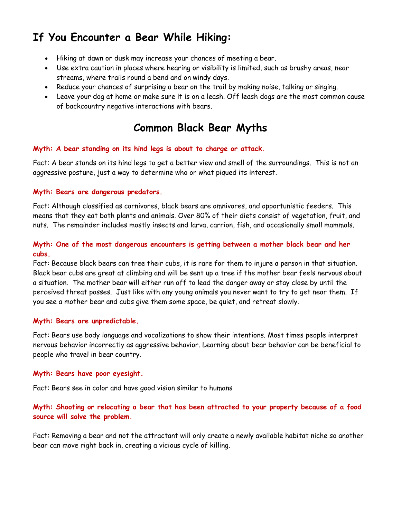# **If You Encounter a Bear While Hiking:**

- Hiking at dawn or dusk may increase your chances of meeting a bear.
- Use extra caution in places where hearing or visibility is limited, such as brushy areas, near streams, where trails round a bend and on windy days.
- Reduce your chances of surprising a bear on the trail by making noise, talking or singing.
- Leave your dog at home or make sure it is on a leash. Off leash dogs are the most common cause of backcountry negative interactions with bears.

### **Common Black Bear Myths**

### **Myth: A bear standing on its hind legs is about to charge or attack.**

Fact: A bear stands on its hind legs to get a better view and smell of the surroundings. This is not an aggressive posture, just a way to determine who or what piqued its interest.

#### **Myth: Bears are dangerous predators.**

Fact: Although classified as carnivores, black bears are omnivores, and opportunistic feeders. This means that they eat both plants and animals. Over 80% of their diets consist of vegetation, fruit, and nuts. The remainder includes mostly insects and larva, carrion, fish, and occasionally small mammals.

### **Myth: One of the most dangerous encounters is getting between a mother black bear and her cubs.**

Fact: Because black bears can tree their cubs, it is rare for them to injure a person in that situation. Black bear cubs are great at climbing and will be sent up a tree if the mother bear feels nervous about a situation. The mother bear will either run off to lead the danger away or stay close by until the perceived threat passes. Just like with any young animals you never want to try to get near them. If you see a mother bear and cubs give them some space, be quiet, and retreat slowly.

#### **Myth: Bears are unpredictable.**

Fact: Bears use body language and vocalizations to show their intentions. Most times people interpret nervous behavior incorrectly as aggressive behavior. Learning about bear behavior can be beneficial to people who travel in bear country.

#### **Myth: Bears have poor eyesight.**

Fact: Bears see in color and have good vision similar to humans

### **Myth: Shooting or relocating a bear that has been attracted to your property because of a food source will solve the problem.**

Fact: Removing a bear and not the attractant will only create a newly available habitat niche so another bear can move right back in, creating a vicious cycle of killing.